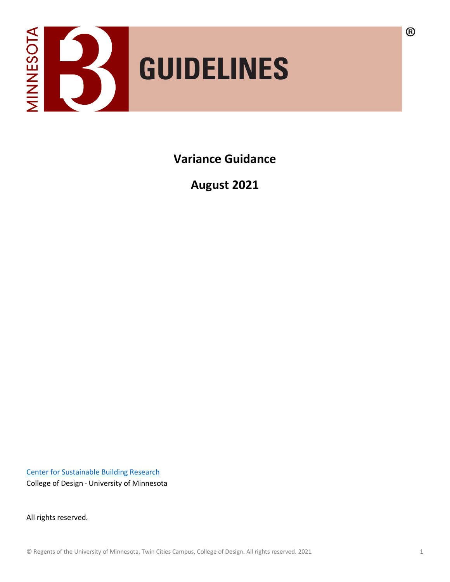

**Variance Guidance** 

**August 2021**

[Center for Sustainable Building Research](http://www.csbr.umn.edu/) College of Design · University of Minnesota

All rights reserved.

 $\circledR$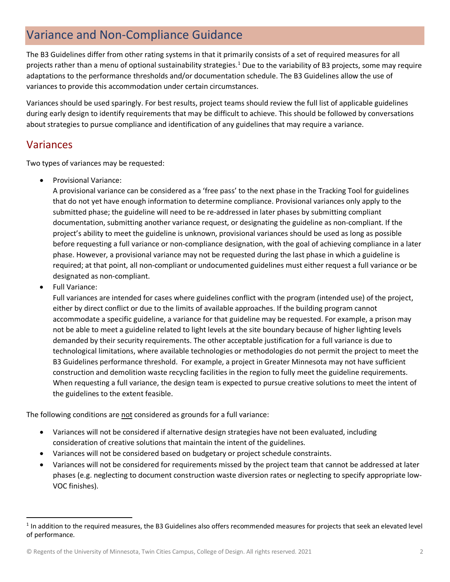## Variance and Non-Compliance Guidance

The B3 Guidelines differ from other rating systems in that it primarily consists of a set of required measures for all projects rather than a menu of optional sustainability strategies.[1](#page-1-0) Due to the variability of B3 projects, some may require adaptations to the performance thresholds and/or documentation schedule. The B3 Guidelines allow the use of variances to provide this accommodation under certain circumstances.

Variances should be used sparingly. For best results, project teams should review the full list of applicable guidelines during early design to identify requirements that may be difficult to achieve. This should be followed by conversations about strategies to pursue compliance and identification of any guidelines that may require a variance.

## Variances

Two types of variances may be requested:

• Provisional Variance:

A provisional variance can be considered as a 'free pass' to the next phase in the Tracking Tool for guidelines that do not yet have enough information to determine compliance. Provisional variances only apply to the submitted phase; the guideline will need to be re-addressed in later phases by submitting compliant documentation, submitting another variance request, or designating the guideline as non-compliant. If the project's ability to meet the guideline is unknown, provisional variances should be used as long as possible before requesting a full variance or non-compliance designation, with the goal of achieving compliance in a later phase. However, a provisional variance may not be requested during the last phase in which a guideline is required; at that point, all non-compliant or undocumented guidelines must either request a full variance or be designated as non-compliant.

• Full Variance:

Full variances are intended for cases where guidelines conflict with the program (intended use) of the project, either by direct conflict or due to the limits of available approaches. If the building program cannot accommodate a specific guideline, a variance for that guideline may be requested. For example, a prison may not be able to meet a guideline related to light levels at the site boundary because of higher lighting levels demanded by their security requirements. The other acceptable justification for a full variance is due to technological limitations, where available technologies or methodologies do not permit the project to meet the B3 Guidelines performance threshold. For example, a project in Greater Minnesota may not have sufficient construction and demolition waste recycling facilities in the region to fully meet the guideline requirements. When requesting a full variance, the design team is expected to pursue creative solutions to meet the intent of the guidelines to the extent feasible.

The following conditions are not considered as grounds for a full variance:

- Variances will not be considered if alternative design strategies have not been evaluated, including consideration of creative solutions that maintain the intent of the guidelines.
- Variances will not be considered based on budgetary or project schedule constraints.
- Variances will not be considered for requirements missed by the project team that cannot be addressed at later phases (e.g. neglecting to document construction waste diversion rates or neglecting to specify appropriate low-VOC finishes).

<span id="page-1-0"></span> $1$  In addition to the required measures, the B3 Guidelines also offers recommended measures for projects that seek an elevated level of performance.

<sup>©</sup> Regents of the University of Minnesota, Twin Cities Campus, College of Design. All rights reserved. 2021 2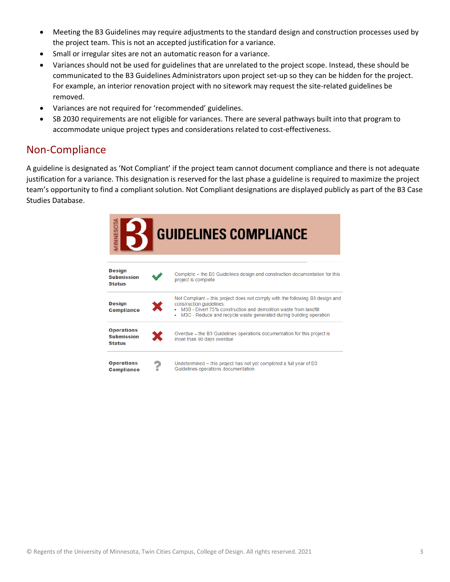- Meeting the B3 Guidelines may require adjustments to the standard design and construction processes used by the project team. This is not an accepted justification for a variance.
- Small or irregular sites are not an automatic reason for a variance.
- Variances should not be used for guidelines that are unrelated to the project scope. Instead, these should be communicated to the B3 Guidelines Administrators upon project set-up so they can be hidden for the project. For example, an interior renovation project with no sitework may request the site-related guidelines be removed.
- Variances are not required for 'recommended' guidelines.
- SB 2030 requirements are not eligible for variances. There are several pathways built into that program to accommodate unique project types and considerations related to cost-effectiveness.

## Non-Compliance

A guideline is designated as 'Not Compliant' if the project team cannot document compliance and there is not adequate justification for a variance. This designation is reserved for the last phase a guideline is required to maximize the project team's opportunity to find a compliant solution. Not Compliant designations are displayed publicly as part of the B3 Case Studies Database.

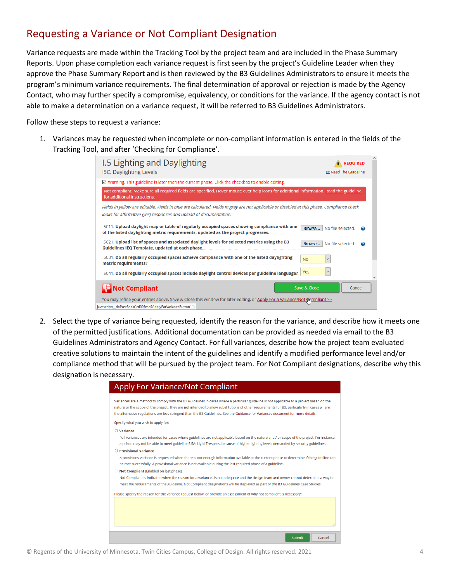## Requesting a Variance or Not Compliant Designation

Variance requests are made within the Tracking Tool by the project team and are included in the Phase Summary Reports. Upon phase completion each variance request is first seen by the project's Guideline Leader when they approve the Phase Summary Report and is then reviewed by the B3 Guidelines Administrators to ensure it meets the program's minimum variance requirements. The final determination of approval or rejection is made by the Agency Contact, who may further specify a compromise, equivalency, or conditions for the variance. If the agency contact is not able to make a determination on a variance request, it will be referred to B3 Guidelines Administrators.

Follow these steps to request a variance:

1. Variances may be requested when incomplete or non-compliant information is entered in the fields of the Tracking Tool, and after 'Checking for Compliance'.

| I.5 Lighting and Daylighting<br><b>REQUIRED</b><br><b>I5C. Daylighting Levels</b><br><b>LE Read The Guideline</b>                                                                                                 |  |
|-------------------------------------------------------------------------------------------------------------------------------------------------------------------------------------------------------------------|--|
| $\boxtimes$ Warning. This guideline is later than the current phase. Click the checkbox to enable editing.                                                                                                        |  |
| Not compliant. Make sure all required fields are specified. Hover mouse over help icons for additional information. Read the guideline<br>for additional instructions.                                            |  |
| Fields in yellow are editable. Fields in blue are calculated. Fields in gray are not applicable or disabled at this phase. Compliance check<br>looks for affirmative (yes) responses and upload of documentation. |  |
| I5C11. Upload daylight map or table of regularly occupied spaces showing compliance with one<br>No file selected.<br>Browse<br>of the listed daylighting metric requirements, updated as the project progresses.  |  |
| I5C21. Upload list of spaces and associated daylight levels for selected metrics using the B3<br>No file selected.<br>Browse<br>Guidelines IEO Template, updated at each phase.                                   |  |
| I5C31. Do all regularly occupied spaces achieve compliance with one of the listed daylighting<br><b>No</b><br>metric requirements?                                                                                |  |
| Yes<br>I5C41. Do all regularly occupied spaces include daylight control devices per guideline language?                                                                                                           |  |
| <b>Not Compliant</b><br>Save & Close<br>Cancel                                                                                                                                                                    |  |
| You may refine your entries above, Save & Close this window for later editing, or Apply For a Variance/Not (lempliant >>                                                                                          |  |
| javascript: doPostBack('ctl00\$mc\$ApplyForVarianceButton',")                                                                                                                                                     |  |

2. Select the type of variance being requested, identify the reason for the variance, and describe how it meets one of the permitted justifications. Additional documentation can be provided as needed via email to the B3 Guidelines Administrators and Agency Contact. For full variances, describe how the project team evaluated creative solutions to maintain the intent of the guidelines and identify a modified performance level and/or compliance method that will be pursued by the project team. For Not Compliant designations, describe why this designation is necessary.

| <b>Apply For Variance/Not Compliant</b>                                                                                                                                                                                                                                                                                                                                                                                     |
|-----------------------------------------------------------------------------------------------------------------------------------------------------------------------------------------------------------------------------------------------------------------------------------------------------------------------------------------------------------------------------------------------------------------------------|
| Variances are a method to comply with the B3 Guidelines in cases where a particular guideline is not applicable to a project based on the<br>nature or the scope of the project. They are not intended to allow substitutions of other requirements for B3, particularly in cases where<br>the alternative regulations are less stringent than the B3 Guidelines. See the Guidance for Variances document for more details. |
| Specify what you wish to apply for:                                                                                                                                                                                                                                                                                                                                                                                         |
| $\bigcirc$ Variance                                                                                                                                                                                                                                                                                                                                                                                                         |
| Full variances are intended for cases where guidelines are not applicable based on the nature and / or scope of the project. For instance,<br>a prison may not be able to meet guideline S.5A: Light Trespass, because of higher lighting levels demanded by security guidelines.                                                                                                                                           |
| $\bigcirc$ Provisional Variance                                                                                                                                                                                                                                                                                                                                                                                             |
| A provisions variance is requested when there is not enough information available at the current phase to determine if the guideline can<br>be met successfully. A provisional variance is not available during the last required phase of a guideline.                                                                                                                                                                     |
| Not Compliant (Enabled on last phase)                                                                                                                                                                                                                                                                                                                                                                                       |
| Not Compliant is indicated when the reason for a variances is not adequate and the design team and owner cannot determine a way to                                                                                                                                                                                                                                                                                          |
| meet the requirements of the guideline. Not Compliant designations will be displayed as part of the B3 Guidelines Case Studies.                                                                                                                                                                                                                                                                                             |
| Please specify the reason for the variance request below, or provide an assessment of why not compliant is necessary:                                                                                                                                                                                                                                                                                                       |
|                                                                                                                                                                                                                                                                                                                                                                                                                             |
|                                                                                                                                                                                                                                                                                                                                                                                                                             |
|                                                                                                                                                                                                                                                                                                                                                                                                                             |
|                                                                                                                                                                                                                                                                                                                                                                                                                             |
|                                                                                                                                                                                                                                                                                                                                                                                                                             |
| Cancel<br>Submit                                                                                                                                                                                                                                                                                                                                                                                                            |